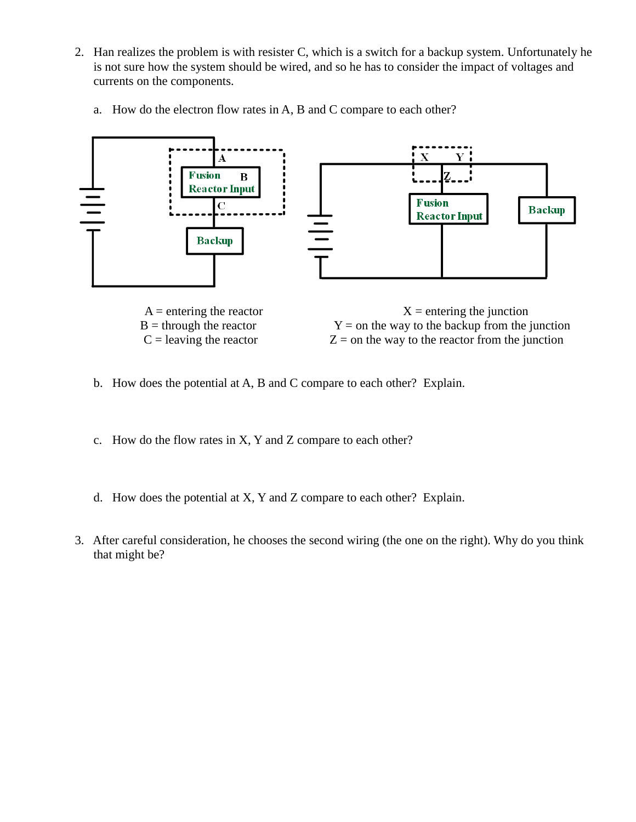- 2. Han realizes the problem is with resister C, which is a switch for a backup system. Unfortunately he is not sure how the system should be wired, and so he has to consider the impact of voltages and currents on the components.
	- a. How do the electron flow rates in A, B and C compare to each other?



 $B =$  through the reactor  $Y =$  on the way to the backup from the junction  $C =$  leaving the reactor  $Z =$  on the way to the reactor from the junction

- b. How does the potential at A, B and C compare to each other? Explain.
- c. How do the flow rates in X, Y and Z compare to each other?
- d. How does the potential at X, Y and Z compare to each other? Explain.
- 3. After careful consideration, he chooses the second wiring (the one on the right). Why do you think that might be?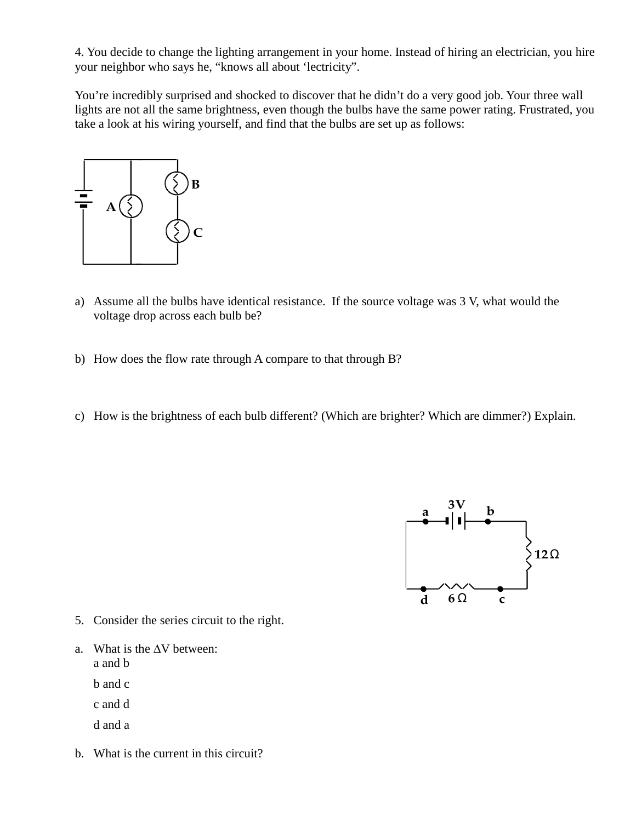4. You decide to change the lighting arrangement in your home. Instead of hiring an electrician, you hire your neighbor who says he, "knows all about 'lectricity".

You're incredibly surprised and shocked to discover that he didn't do a very good job. Your three wall lights are not all the same brightness, even though the bulbs have the same power rating. Frustrated, you take a look at his wiring yourself, and find that the bulbs are set up as follows:



- a) Assume all the bulbs have identical resistance. If the source voltage was 3 V, what would the voltage drop across each bulb be?
- b) How does the flow rate through A compare to that through B?
- c) How is the brightness of each bulb different? (Which are brighter? Which are dimmer?) Explain.



- 5. Consider the series circuit to the right.
- a. What is the ∆V between: a and b

b and c

- c and d
- d and a
- b. What is the current in this circuit?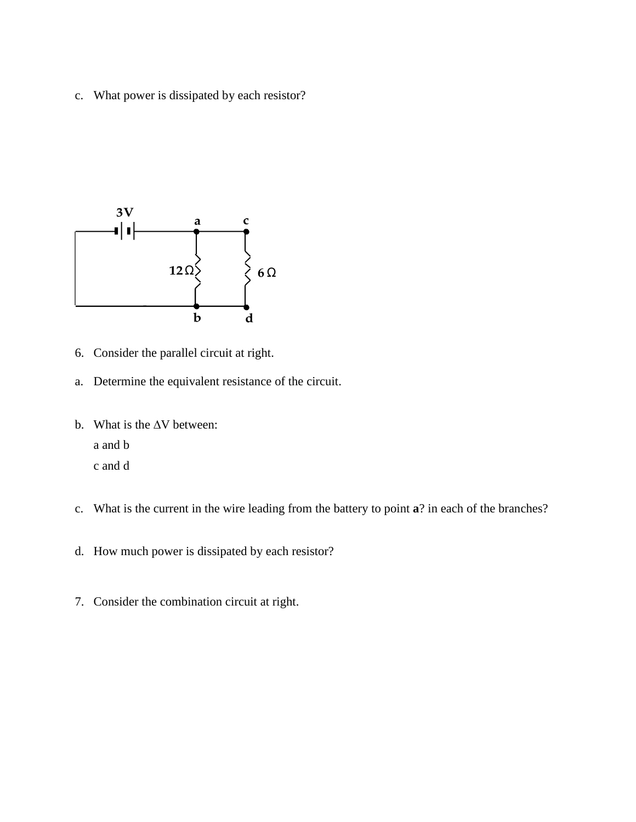c. What power is dissipated by each resistor?



- 6. Consider the parallel circuit at right.
- a. Determine the equivalent resistance of the circuit.
- b. What is the ∆V between: a and b c and d
- c. What is the current in the wire leading from the battery to point **a**? in each of the branches?
- d. How much power is dissipated by each resistor?
- 7. Consider the combination circuit at right.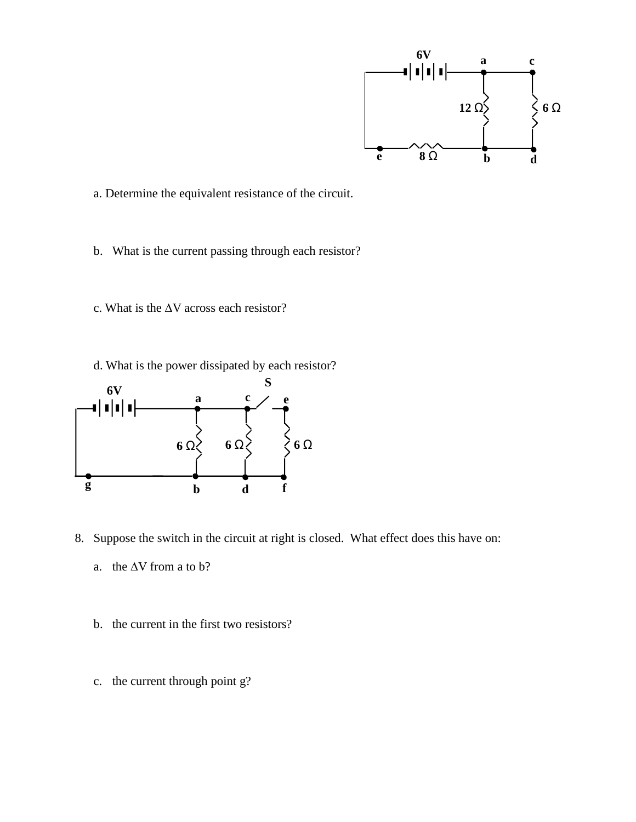

a. Determine the equivalent resistance of the circuit.

- b. What is the current passing through each resistor?
- c. What is the ∆V across each resistor?
- d. What is the power dissipated by each resistor?



- 8. Suppose the switch in the circuit at right is closed. What effect does this have on:
	- a. the  $\Delta V$  from a to b?
	- b. the current in the first two resistors?
	- c. the current through point g?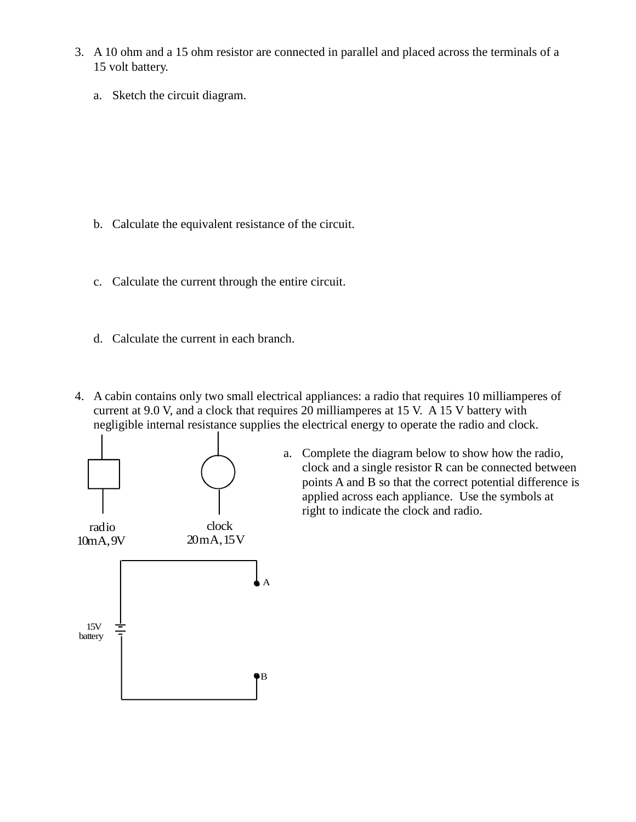- 3. A 10 ohm and a 15 ohm resistor are connected in parallel and placed across the terminals of a 15 volt battery.
	- a. Sketch the circuit diagram.

- b. Calculate the equivalent resistance of the circuit.
- c. Calculate the current through the entire circuit.
- d. Calculate the current in each branch.
- 4. A cabin contains only two small electrical appliances: a radio that requires 10 milliamperes of current at 9.0 V, and a clock that requires 20 milliamperes at 15 V. A 15 V battery with negligible internal resistance supplies the electrical energy to operate the radio and clock.



a. Complete the diagram below to show how the radio, clock and a single resistor R can be connected between points A and B so that the correct potential difference is applied across each appliance. Use the symbols at right to indicate the clock and radio.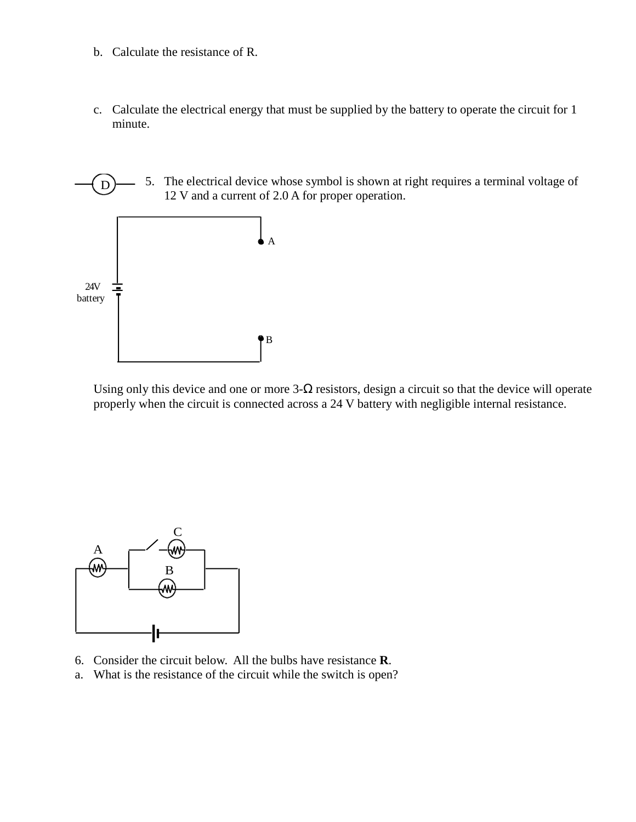- b. Calculate the resistance of R.
- c. Calculate the electrical energy that must be supplied by the battery to operate the circuit for 1 minute.



Using only this device and one or more  $3-\Omega$  resistors, design a circuit so that the device will operate properly when the circuit is connected across a 24 V battery with negligible internal resistance.



- 6. Consider the circuit below. All the bulbs have resistance **R**.
- a. What is the resistance of the circuit while the switch is open?